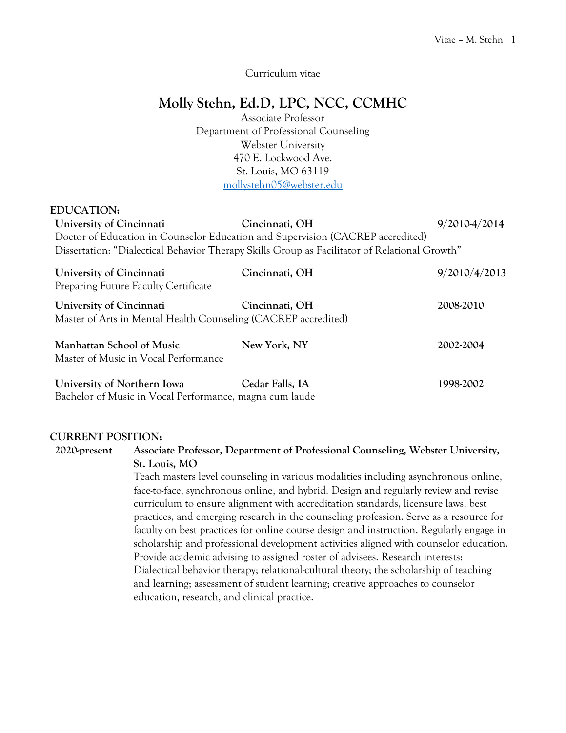Curriculum vitae

# **Molly Stehn, Ed.D, LPC, NCC, CCMHC**

Associate Professor Department of Professional Counseling Webster University 470 E. Lockwood Ave. St. Louis, MO 63119 [mollystehn05@webster.edu](mailto:mollystehn05@webster.edu)

#### **EDUCATION:**

| University of Cincinnati | Cincinnati, OH                                                                                | 9/2010-4/2014 |
|--------------------------|-----------------------------------------------------------------------------------------------|---------------|
|                          | Doctor of Education in Counselor Education and Supervision (CACREP accredited)                |               |
|                          | Dissertation: "Dialectical Behavior Therapy Skills Group as Facilitator of Relational Growth" |               |
| University of Cincinnati | Cincinnati, OH                                                                                | 9/2010/4/2013 |

| UNIVEISILY OI UNICHINALI<br><b>Preparing Future Faculty Certificate</b>                    | UNICHINALI, UTT | 7/2010/7/2013 |
|--------------------------------------------------------------------------------------------|-----------------|---------------|
| University of Cincinnati<br>Master of Arts in Mental Health Counseling (CACREP accredited) | Cincinnati, OH  | 2008-2010     |
| Manhattan School of Music<br>Master of Music in Vocal Performance                          | New York, NY    | 2002-2004     |
| University of Northern Iowa                                                                | Cedar Falls, IA | 1998-2002     |

Bachelor of Music in Vocal Performance, magna cum laude

#### **CURRENT POSITION:**

**2020-present Associate Professor, Department of Professional Counseling, Webster University, St. Louis, MO**

> Teach masters level counseling in various modalities including asynchronous online, face-to-face, synchronous online, and hybrid. Design and regularly review and revise curriculum to ensure alignment with accreditation standards, licensure laws, best practices, and emerging research in the counseling profession. Serve as a resource for faculty on best practices for online course design and instruction. Regularly engage in scholarship and professional development activities aligned with counselor education. Provide academic advising to assigned roster of advisees. Research interests: Dialectical behavior therapy; relational-cultural theory; the scholarship of teaching and learning; assessment of student learning; creative approaches to counselor education, research, and clinical practice.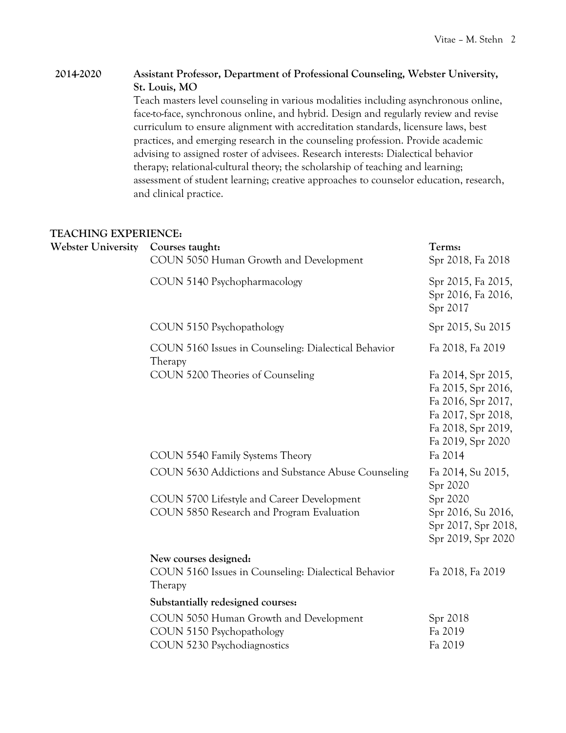## **2014-2020 Assistant Professor, Department of Professional Counseling, Webster University, St. Louis, MO**

Teach masters level counseling in various modalities including asynchronous online, face-to-face, synchronous online, and hybrid. Design and regularly review and revise curriculum to ensure alignment with accreditation standards, licensure laws, best practices, and emerging research in the counseling profession. Provide academic advising to assigned roster of advisees. Research interests: Dialectical behavior therapy; relational-cultural theory; the scholarship of teaching and learning; assessment of student learning; creative approaches to counselor education, research, and clinical practice.

#### **TEACHING EXPERIENCE:**

| <b>Webster University</b> | Courses taught:<br>COUN 5050 Human Growth and Development                                          | Terms:<br>Spr 2018, Fa 2018                                                                                                     |
|---------------------------|----------------------------------------------------------------------------------------------------|---------------------------------------------------------------------------------------------------------------------------------|
|                           | COUN 5140 Psychopharmacology                                                                       | Spr 2015, Fa 2015,<br>Spr 2016, Fa 2016,<br>Spr 2017                                                                            |
|                           | COUN 5150 Psychopathology                                                                          | Spr 2015, Su 2015                                                                                                               |
|                           | COUN 5160 Issues in Counseling: Dialectical Behavior<br>Therapy                                    | Fa 2018, Fa 2019                                                                                                                |
|                           | COUN 5200 Theories of Counseling                                                                   | Fa 2014, Spr 2015,<br>Fa 2015, Spr 2016,<br>Fa 2016, Spr 2017,<br>Fa 2017, Spr 2018,<br>Fa 2018, Spr 2019,<br>Fa 2019, Spr 2020 |
|                           | COUN 5540 Family Systems Theory                                                                    | Fa 2014                                                                                                                         |
|                           | COUN 5630 Addictions and Substance Abuse Counseling                                                | Fa 2014, Su 2015,<br>Spr 2020                                                                                                   |
|                           | COUN 5700 Lifestyle and Career Development<br>COUN 5850 Research and Program Evaluation            | Spr 2020<br>Spr 2016, Su 2016,<br>Spr 2017, Spr 2018,<br>Spr 2019, Spr 2020                                                     |
|                           | New courses designed:<br>COUN 5160 Issues in Counseling: Dialectical Behavior<br>Therapy           | Fa 2018, Fa 2019                                                                                                                |
|                           | Substantially redesigned courses:                                                                  |                                                                                                                                 |
|                           | COUN 5050 Human Growth and Development<br>COUN 5150 Psychopathology<br>COUN 5230 Psychodiagnostics | Spr 2018<br>Fa 2019<br>Fa 2019                                                                                                  |
|                           |                                                                                                    |                                                                                                                                 |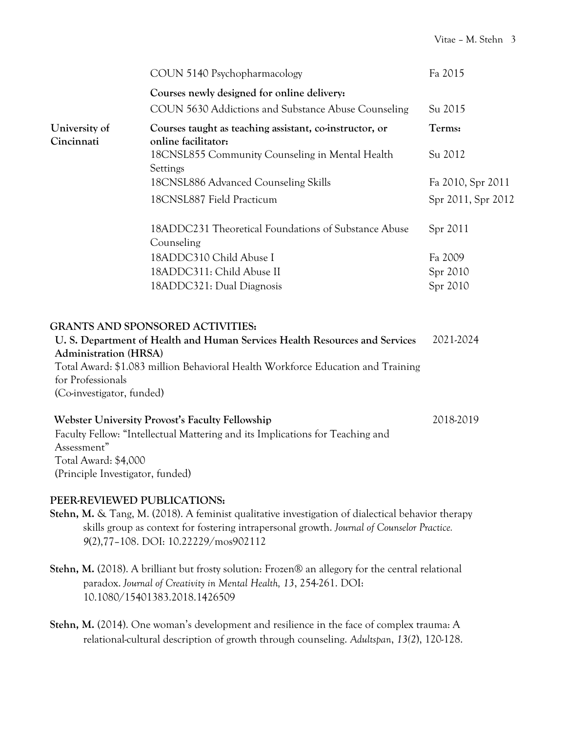|                                  | COUN 5140 Psychopharmacology                                                    | Fa 2015            |
|----------------------------------|---------------------------------------------------------------------------------|--------------------|
|                                  | Courses newly designed for online delivery:                                     |                    |
|                                  | COUN 5630 Addictions and Substance Abuse Counseling                             | Su 2015            |
| University of<br>Cincinnati      | Courses taught as teaching assistant, co-instructor, or<br>online facilitator:  | Terms:             |
|                                  | 18CNSL855 Community Counseling in Mental Health<br>Settings                     | Su 2012            |
|                                  | 18CNSL886 Advanced Counseling Skills                                            | Fa 2010, Spr 2011  |
|                                  | 18CNSL887 Field Practicum                                                       | Spr 2011, Spr 2012 |
|                                  | 18ADDC231 Theoretical Foundations of Substance Abuse<br>Counseling              | Spr 2011           |
|                                  | 18ADDC310 Child Abuse I                                                         | Fa 2009            |
|                                  | 18ADDC311: Child Abuse II                                                       | Spr 2010           |
|                                  | 18ADDC321: Dual Diagnosis                                                       | Spr 2010           |
|                                  | <b>GRANTS AND SPONSORED ACTIVITIES:</b>                                         |                    |
| <b>Administration (HRSA)</b>     | U.S. Department of Health and Human Services Health Resources and Services      | 2021-2024          |
| for Professionals                | Total Award: \$1.083 million Behavioral Health Workforce Education and Training |                    |
| (Co-investigator, funded)        |                                                                                 |                    |
|                                  | <b>Webster University Provost's Faculty Fellowship</b>                          | 2018-2019          |
| Assessment"                      | Faculty Fellow: "Intellectual Mattering and its Implications for Teaching and   |                    |
| Total Award: \$4,000             |                                                                                 |                    |
| (Principle Investigator, funded) |                                                                                 |                    |
| PEER-REVIEWED PUBLICATIONS:      |                                                                                 |                    |

- **Stehn, M.** & Tang, M. (2018). A feminist qualitative investigation of dialectical behavior therapy skills group as context for fostering intrapersonal growth. *Journal of Counselor Practice. 9*(2),77–108. DOI: 10.22229/mos902112
- **Stehn, M.** (2018). A brilliant but frosty solution: Frozen® an allegory for the central relational paradox. *Journal of Creativity in Mental Health, 13*, 254-261. DOI: 10.1080/15401383.2018.1426509
- **Stehn, M.** (2014). One woman's development and resilience in the face of complex trauma: A relational-cultural description of growth through counseling. *Adultspan*, *13(2*), 120-128.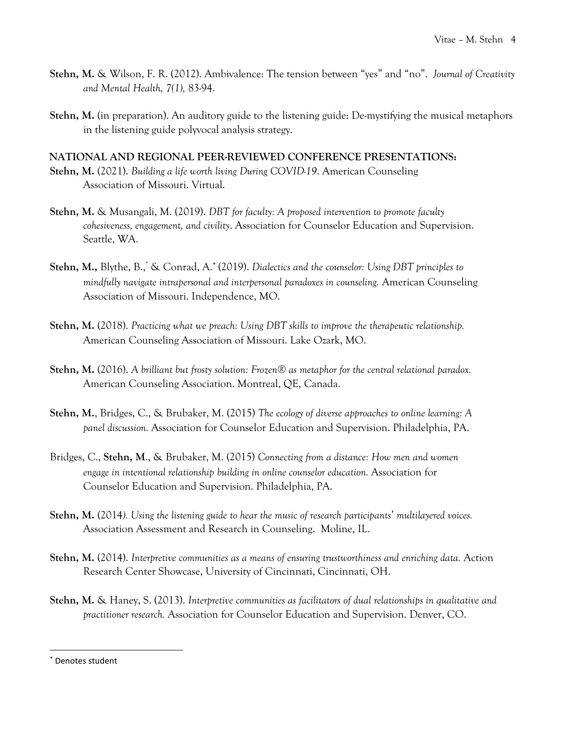- **Stehn, M.** & Wilson, F. R. (2012). Ambivalence: The tension between "yes" and "no". *Journal of Creativity and Mental Health, 7(1),* 83-94.
- **Stehn, M.** (in preparation). An auditory guide to the listening guide: De-mystifying the musical metaphors in the listening guide polyvocal analysis strategy.

#### **NATIONAL AND REGIONAL PEER-REVIEWED CONFERENCE PRESENTATIONS:**

- **Stehn, M.** (2021). *Building a life worth living During COVID-19*. American Counseling Association of Missouri. Virtual.
- **Stehn, M.** & Musangali, M. (2019). *DBT for faculty: A proposed intervention to promote faculty cohesiveness, engagement, and civility*. Association for Counselor Education and Supervision. Seattle, WA.
- **Stehn, M.,** Blythe, B., \* & Conrad, A.\* (2019). *Dialectics and the counselor: Using DBT principles to mindfully navigate intrapersonal and interpersonal paradoxes in counseling.* American Counseling Association of Missouri. Independence, MO.
- **Stehn, M.** (2018). *Practicing what we preach: Using DBT skills to improve the therapeutic relationship.* American Counseling Association of Missouri. Lake Ozark, MO.
- **Stehn, M.** (2016). *A brilliant but frosty solution: Frozen® as metaphor for the central relational paradox.*  American Counseling Association. Montreal, QE, Canada.
- **Stehn, M.**, Bridges, C., & Brubaker, M. (2015) *The ecology of diverse approaches to online learning: A panel discussion.* Association for Counselor Education and Supervision. Philadelphia, PA.
- Bridges, C., **Stehn, M**., & Brubaker, M. (2015) *Connecting from a distance: How men and women engage in intentional relationship building in online counselor education.* Association for Counselor Education and Supervision. Philadelphia, PA.
- **Stehn, M.** (2014*). Using the listening guide to hear the music of research participants*' *multilayered voices.*  Association Assessment and Research in Counseling. Moline, IL.
- **Stehn, M.** (2014). *Interpretive communities as a means of ensuring trustworthiness and enriching data.* Action Research Center Showcase, University of Cincinnati, Cincinnati, OH.
- **Stehn, M.** & Haney, S. (2013). *Interpretive communities as facilitators of dual relationships in qualitative and practitioner research.* Association for Counselor Education and Supervision. Denver, CO.

 $\overline{\phantom{a}}$ 

Denotes student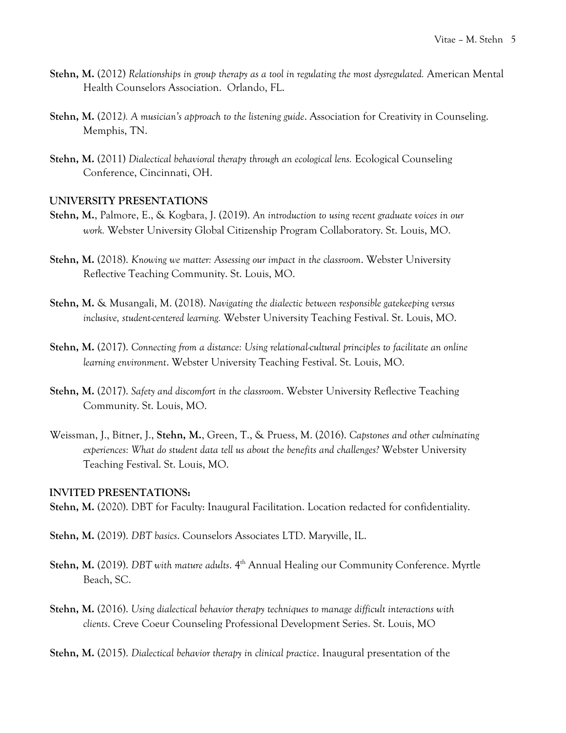- **Stehn, M.** (2012) *Relationships in group therapy as a tool in regulating the most dysregulated.* American Mental Health Counselors Association. Orlando, FL.
- **Stehn, M.** (2012*). A musician's approach to the listening guide*. Association for Creativity in Counseling. Memphis, TN.
- **Stehn, M.** (2011) *Dialectical behavioral therapy through an ecological lens.* Ecological Counseling Conference, Cincinnati, OH.

#### **UNIVERSITY PRESENTATIONS**

- **Stehn, M.**, Palmore, E., & Kogbara, J. (2019). *An introduction to using recent graduate voices in our work.* Webster University Global Citizenship Program Collaboratory. St. Louis, MO.
- **Stehn, M.** (2018). *Knowing we matter: Assessing our impact in the classroom*. Webster University Reflective Teaching Community. St. Louis, MO.
- **Stehn, M.** & Musangali, M. (2018). *Navigating the dialectic between responsible gatekeeping versus inclusive, student-centered learning.* Webster University Teaching Festival. St. Louis, MO.
- **Stehn, M.** (2017). *Connecting from a distance: Using relational-cultural principles to facilitate an online learning environment*. Webster University Teaching Festival. St. Louis, MO.
- **Stehn, M.** (2017). *Safety and discomfort in the classroom*. Webster University Reflective Teaching Community. St. Louis, MO.
- Weissman, J., Bitner, J., **Stehn, M.**, Green, T., & Pruess, M. (2016). *Capstones and other culminating experiences: What do student data tell us about the benefits and challenges?* Webster University Teaching Festival. St. Louis, MO.

#### **INVITED PRESENTATIONS:**

**Stehn, M.** (2020). DBT for Faculty: Inaugural Facilitation. Location redacted for confidentiality.

- **Stehn, M.** (2019). *DBT basics*. Counselors Associates LTD. Maryville, IL.
- **Stehn, M.** (2019). *DBT with mature adults*. 4<sup>th</sup> Annual Healing our Community Conference. Myrtle Beach, SC.
- **Stehn, M.** (2016). *Using dialectical behavior therapy techniques to manage difficult interactions with clients*. Creve Coeur Counseling Professional Development Series. St. Louis, MO

**Stehn, M.** (2015). *Dialectical behavior therapy in clinical practice*. Inaugural presentation of the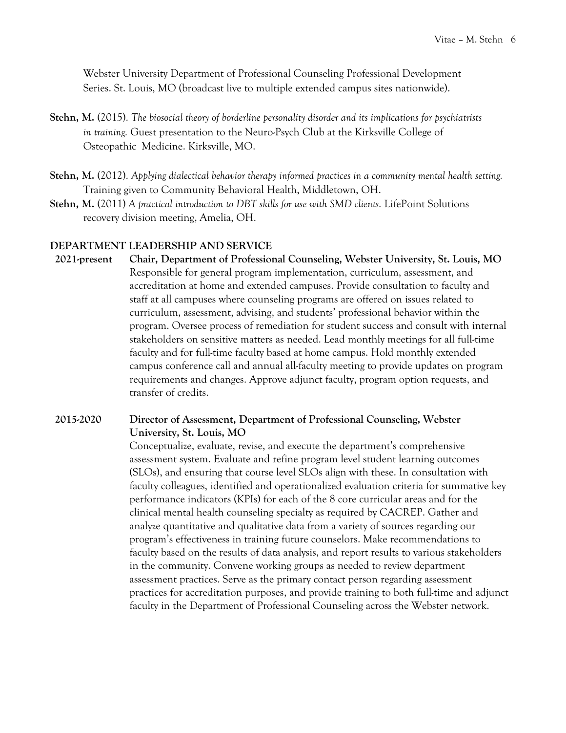Webster University Department of Professional Counseling Professional Development Series. St. Louis, MO (broadcast live to multiple extended campus sites nationwide).

- **Stehn, M.** (2015). *The biosocial theory of borderline personality disorder and its implications for psychiatrists in training.* Guest presentation to the Neuro-Psych Club at the Kirksville College of Osteopathic Medicine. Kirksville, MO.
- **Stehn, M.** (2012). *Applying dialectical behavior therapy informed practices in a community mental health setting.* Training given to Community Behavioral Health, Middletown, OH.
- **Stehn, M.** (2011) *A practical introduction to DBT skills for use with SMD clients.* LifePoint Solutions recovery division meeting, Amelia, OH.

#### **DEPARTMENT LEADERSHIP AND SERVICE**

**2021-present Chair, Department of Professional Counseling, Webster University, St. Louis, MO** Responsible for general program implementation, curriculum, assessment, and accreditation at home and extended campuses. Provide consultation to faculty and staff at all campuses where counseling programs are offered on issues related to curriculum, assessment, advising, and students' professional behavior within the program. Oversee process of remediation for student success and consult with internal stakeholders on sensitive matters as needed. Lead monthly meetings for all full-time faculty and for full-time faculty based at home campus. Hold monthly extended campus conference call and annual all-faculty meeting to provide updates on program requirements and changes. Approve adjunct faculty, program option requests, and transfer of credits.

#### **2015-2020 Director of Assessment, Department of Professional Counseling, Webster University, St. Louis, MO**

Conceptualize, evaluate, revise, and execute the department's comprehensive assessment system. Evaluate and refine program level student learning outcomes (SLOs), and ensuring that course level SLOs align with these. In consultation with faculty colleagues, identified and operationalized evaluation criteria for summative key performance indicators (KPIs) for each of the 8 core curricular areas and for the clinical mental health counseling specialty as required by CACREP. Gather and analyze quantitative and qualitative data from a variety of sources regarding our program's effectiveness in training future counselors. Make recommendations to faculty based on the results of data analysis, and report results to various stakeholders in the community. Convene working groups as needed to review department assessment practices. Serve as the primary contact person regarding assessment practices for accreditation purposes, and provide training to both full-time and adjunct faculty in the Department of Professional Counseling across the Webster network.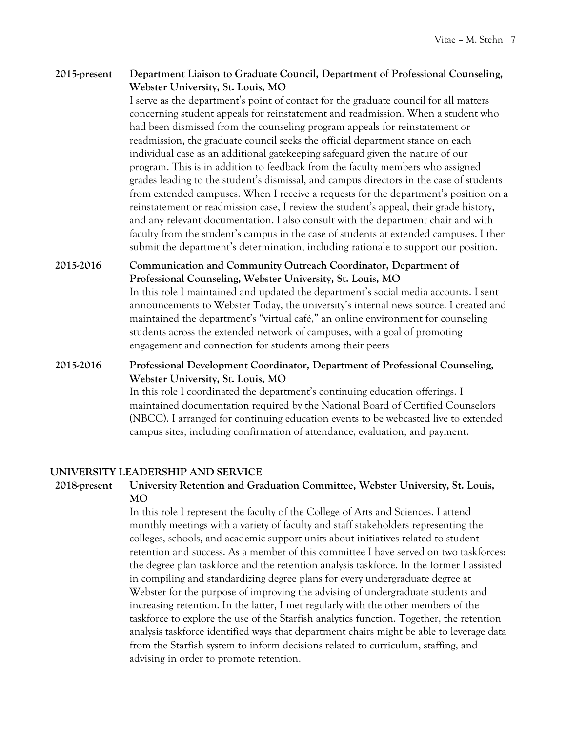#### **2015-present Department Liaison to Graduate Council, Department of Professional Counseling, Webster University, St. Louis, MO**

I serve as the department's point of contact for the graduate council for all matters concerning student appeals for reinstatement and readmission. When a student who had been dismissed from the counseling program appeals for reinstatement or readmission, the graduate council seeks the official department stance on each individual case as an additional gatekeeping safeguard given the nature of our program. This is in addition to feedback from the faculty members who assigned grades leading to the student's dismissal, and campus directors in the case of students from extended campuses. When I receive a requests for the department's position on a reinstatement or readmission case, I review the student's appeal, their grade history, and any relevant documentation. I also consult with the department chair and with faculty from the student's campus in the case of students at extended campuses. I then submit the department's determination, including rationale to support our position.

**2015-2016 Communication and Community Outreach Coordinator, Department of Professional Counseling, Webster University, St. Louis, MO** In this role I maintained and updated the department's social media accounts. I sent announcements to Webster Today, the university's internal news source. I created and maintained the department's "virtual café," an online environment for counseling students across the extended network of campuses, with a goal of promoting engagement and connection for students among their peers

### **2015-2016 Professional Development Coordinator, Department of Professional Counseling, Webster University, St. Louis, MO**

In this role I coordinated the department's continuing education offerings. I maintained documentation required by the National Board of Certified Counselors (NBCC). I arranged for continuing education events to be webcasted live to extended campus sites, including confirmation of attendance, evaluation, and payment.

#### **UNIVERSITY LEADERSHIP AND SERVICE**

#### **2018-present University Retention and Graduation Committee, Webster University, St. Louis, MO**

In this role I represent the faculty of the College of Arts and Sciences. I attend monthly meetings with a variety of faculty and staff stakeholders representing the colleges, schools, and academic support units about initiatives related to student retention and success. As a member of this committee I have served on two taskforces: the degree plan taskforce and the retention analysis taskforce. In the former I assisted in compiling and standardizing degree plans for every undergraduate degree at Webster for the purpose of improving the advising of undergraduate students and increasing retention. In the latter, I met regularly with the other members of the taskforce to explore the use of the Starfish analytics function. Together, the retention analysis taskforce identified ways that department chairs might be able to leverage data from the Starfish system to inform decisions related to curriculum, staffing, and advising in order to promote retention.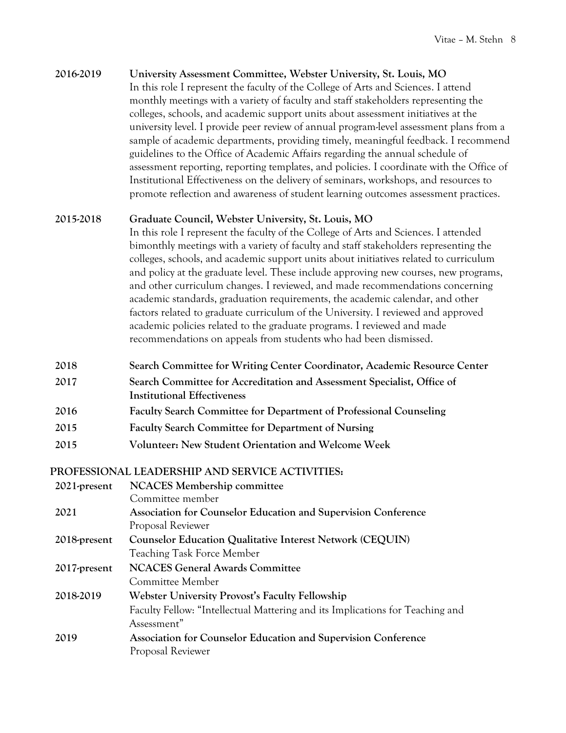#### **2016-2019 University Assessment Committee, Webster University, St. Louis, MO**

In this role I represent the faculty of the College of Arts and Sciences. I attend monthly meetings with a variety of faculty and staff stakeholders representing the colleges, schools, and academic support units about assessment initiatives at the university level. I provide peer review of annual program-level assessment plans from a sample of academic departments, providing timely, meaningful feedback. I recommend guidelines to the Office of Academic Affairs regarding the annual schedule of assessment reporting, reporting templates, and policies. I coordinate with the Office of Institutional Effectiveness on the delivery of seminars, workshops, and resources to promote reflection and awareness of student learning outcomes assessment practices.

#### **2015-2018 Graduate Council, Webster University, St. Louis, MO**

In this role I represent the faculty of the College of Arts and Sciences. I attended bimonthly meetings with a variety of faculty and staff stakeholders representing the colleges, schools, and academic support units about initiatives related to curriculum and policy at the graduate level. These include approving new courses, new programs, and other curriculum changes. I reviewed, and made recommendations concerning academic standards, graduation requirements, the academic calendar, and other factors related to graduate curriculum of the University. I reviewed and approved academic policies related to the graduate programs. I reviewed and made recommendations on appeals from students who had been dismissed.

- **2018 Search Committee for Writing Center Coordinator, Academic Resource Center**
- **2017 Search Committee for Accreditation and Assessment Specialist, Office of Institutional Effectiveness**
- **2016 Faculty Search Committee for Department of Professional Counseling**
- **2015 Faculty Search Committee for Department of Nursing**
- **2015 Volunteer: New Student Orientation and Welcome Week**

#### **PROFESSIONAL LEADERSHIP AND SERVICE ACTIVITIES:**

| $2021$ -present | <b>NCACES Membership committee</b>                                            |  |
|-----------------|-------------------------------------------------------------------------------|--|
|                 | Committee member                                                              |  |
| 2021            | Association for Counselor Education and Supervision Conference                |  |
|                 | Proposal Reviewer                                                             |  |
| 2018-present    | <b>Counselor Education Qualitative Interest Network (CEQUIN)</b>              |  |
|                 | <b>Teaching Task Force Member</b>                                             |  |
| 2017-present    | <b>NCACES General Awards Committee</b>                                        |  |
|                 | Committee Member                                                              |  |
| 2018-2019       | <b>Webster University Provost's Faculty Fellowship</b>                        |  |
|                 | Faculty Fellow: "Intellectual Mattering and its Implications for Teaching and |  |
|                 | Assessment"                                                                   |  |
| 2019            | Association for Counselor Education and Supervision Conference                |  |
|                 | Proposal Reviewer                                                             |  |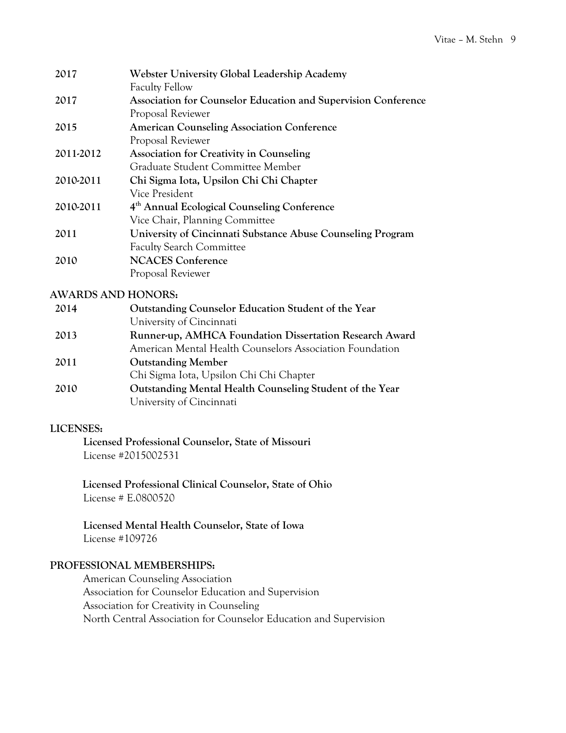| 2017      | Webster University Global Leadership Academy                   |  |
|-----------|----------------------------------------------------------------|--|
|           | <b>Faculty Fellow</b>                                          |  |
| 2017      | Association for Counselor Education and Supervision Conference |  |
|           | Proposal Reviewer                                              |  |
| 2015      | <b>American Counseling Association Conference</b>              |  |
|           | Proposal Reviewer                                              |  |
| 2011-2012 | <b>Association for Creativity in Counseling</b>                |  |
|           | Graduate Student Committee Member                              |  |
| 2010-2011 | Chi Sigma Iota, Upsilon Chi Chi Chapter                        |  |
|           | Vice President                                                 |  |
| 2010-2011 | 4 <sup>th</sup> Annual Ecological Counseling Conference        |  |
|           | Vice Chair, Planning Committee                                 |  |
| 2011      | University of Cincinnati Substance Abuse Counseling Program    |  |
|           | <b>Faculty Search Committee</b>                                |  |
| 2010      | <b>NCACES Conference</b>                                       |  |
|           | Proposal Reviewer                                              |  |

#### **AWARDS AND HONORS:**

| 2014 | Outstanding Counselor Education Student of the Year                                  |  |
|------|--------------------------------------------------------------------------------------|--|
|      | University of Cincinnati                                                             |  |
| 2013 | Runner-up, AMHCA Foundation Dissertation Research Award                              |  |
|      | American Mental Health Counselors Association Foundation                             |  |
| 2011 | <b>Outstanding Member</b>                                                            |  |
|      | Chi Sigma Iota, Upsilon Chi Chi Chapter                                              |  |
| 2010 | Outstanding Mental Health Counseling Student of the Year<br>University of Cincinnati |  |
|      |                                                                                      |  |

#### **LICENSES:**

**Licensed Professional Counselor, State of Missouri** License #2015002531

**Licensed Professional Clinical Counselor, State of Ohio**  License # E.0800520

**Licensed Mental Health Counselor, State of Iowa** License #109726

#### **PROFESSIONAL MEMBERSHIPS:**

American Counseling Association Association for Counselor Education and Supervision Association for Creativity in Counseling North Central Association for Counselor Education and Supervision